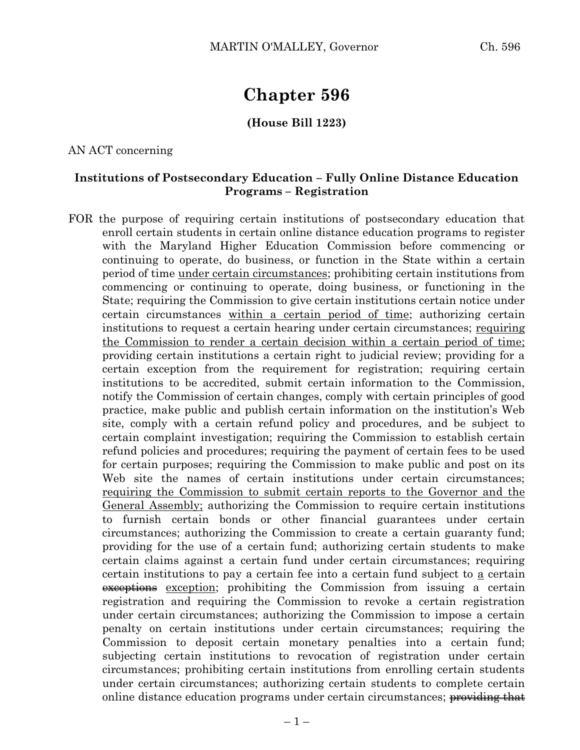# **Chapter 596**

#### **(House Bill 1223)**

AN ACT concerning

#### **Institutions of Postsecondary Education – Fully Online Distance Education Programs – Registration**

FOR the purpose of requiring certain institutions of postsecondary education that enroll certain students in certain online distance education programs to register with the Maryland Higher Education Commission before commencing or continuing to operate, do business, or function in the State within a certain period of time under certain circumstances; prohibiting certain institutions from commencing or continuing to operate, doing business, or functioning in the State; requiring the Commission to give certain institutions certain notice under certain circumstances within a certain period of time; authorizing certain institutions to request a certain hearing under certain circumstances; requiring the Commission to render a certain decision within a certain period of time; providing certain institutions a certain right to judicial review; providing for a certain exception from the requirement for registration; requiring certain institutions to be accredited, submit certain information to the Commission, notify the Commission of certain changes, comply with certain principles of good practice, make public and publish certain information on the institution's Web site, comply with a certain refund policy and procedures, and be subject to certain complaint investigation; requiring the Commission to establish certain refund policies and procedures; requiring the payment of certain fees to be used for certain purposes; requiring the Commission to make public and post on its Web site the names of certain institutions under certain circumstances; requiring the Commission to submit certain reports to the Governor and the General Assembly; authorizing the Commission to require certain institutions to furnish certain bonds or other financial guarantees under certain circumstances; authorizing the Commission to create a certain guaranty fund; providing for the use of a certain fund; authorizing certain students to make certain claims against a certain fund under certain circumstances; requiring certain institutions to pay a certain fee into a certain fund subject to a certain exceptions exception; prohibiting the Commission from issuing a certain registration and requiring the Commission to revoke a certain registration under certain circumstances; authorizing the Commission to impose a certain penalty on certain institutions under certain circumstances; requiring the Commission to deposit certain monetary penalties into a certain fund; subjecting certain institutions to revocation of registration under certain circumstances; prohibiting certain institutions from enrolling certain students under certain circumstances; authorizing certain students to complete certain online distance education programs under certain circumstances; providing that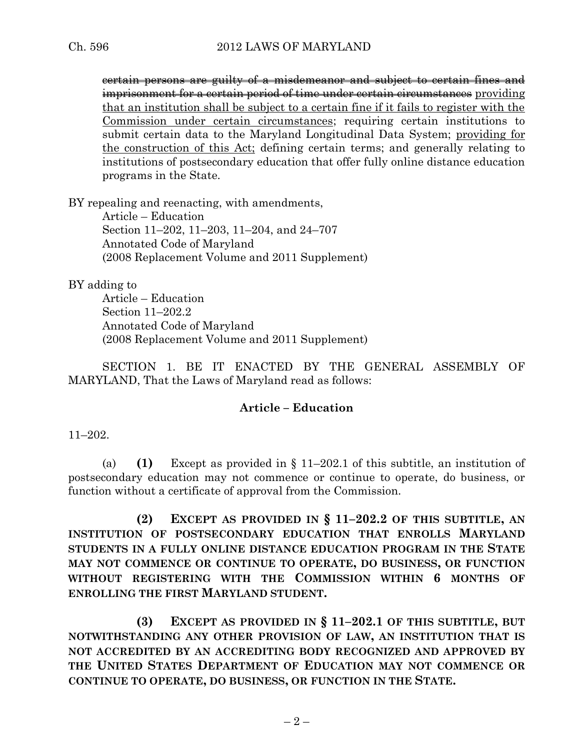certain persons are guilty of a misdemeanor and subject to certain fines and imprisonment for a certain period of time under certain circumstances providing that an institution shall be subject to a certain fine if it fails to register with the Commission under certain circumstances; requiring certain institutions to submit certain data to the Maryland Longitudinal Data System; providing for the construction of this Act; defining certain terms; and generally relating to institutions of postsecondary education that offer fully online distance education programs in the State.

BY repealing and reenacting, with amendments,

Article – Education Section 11–202, 11–203, 11–204, and 24–707 Annotated Code of Maryland (2008 Replacement Volume and 2011 Supplement)

BY adding to

Article – Education Section 11–202.2 Annotated Code of Maryland (2008 Replacement Volume and 2011 Supplement)

SECTION 1. BE IT ENACTED BY THE GENERAL ASSEMBLY OF MARYLAND, That the Laws of Maryland read as follows:

#### **Article – Education**

11–202.

(a) **(1)** Except as provided in § 11–202.1 of this subtitle, an institution of postsecondary education may not commence or continue to operate, do business, or function without a certificate of approval from the Commission.

**(2) EXCEPT AS PROVIDED IN § 11–202.2 OF THIS SUBTITLE, AN INSTITUTION OF POSTSECONDARY EDUCATION THAT ENROLLS MARYLAND STUDENTS IN A FULLY ONLINE DISTANCE EDUCATION PROGRAM IN THE STATE MAY NOT COMMENCE OR CONTINUE TO OPERATE, DO BUSINESS, OR FUNCTION WITHOUT REGISTERING WITH THE COMMISSION WITHIN 6 MONTHS OF ENROLLING THE FIRST MARYLAND STUDENT.**

**(3) EXCEPT AS PROVIDED IN § 11–202.1 OF THIS SUBTITLE, BUT NOTWITHSTANDING ANY OTHER PROVISION OF LAW, AN INSTITUTION THAT IS NOT ACCREDITED BY AN ACCREDITING BODY RECOGNIZED AND APPROVED BY THE UNITED STATES DEPARTMENT OF EDUCATION MAY NOT COMMENCE OR CONTINUE TO OPERATE, DO BUSINESS, OR FUNCTION IN THE STATE.**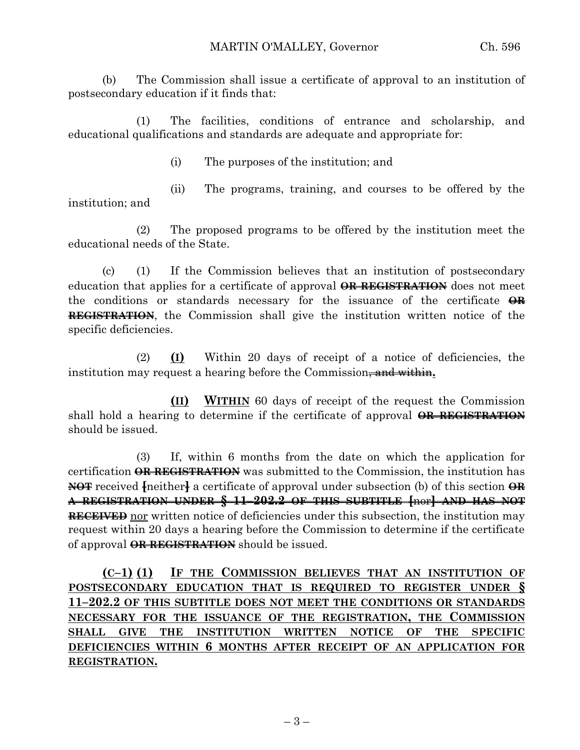(b) The Commission shall issue a certificate of approval to an institution of postsecondary education if it finds that:

(1) The facilities, conditions of entrance and scholarship, and educational qualifications and standards are adequate and appropriate for:

(i) The purposes of the institution; and

(ii) The programs, training, and courses to be offered by the institution; and

(2) The proposed programs to be offered by the institution meet the educational needs of the State.

(c) (1) If the Commission believes that an institution of postsecondary education that applies for a certificate of approval **OR REGISTRATION** does not meet the conditions or standards necessary for the issuance of the certificate **OR REGISTRATION**, the Commission shall give the institution written notice of the specific deficiencies.

(2) **(I)** Within 20 days of receipt of a notice of deficiencies, the institution may request a hearing before the Commission<del>, and within</del>.

**(II) WITHIN** 60 days of receipt of the request the Commission shall hold a hearing to determine if the certificate of approval **OR REGISTRATION** should be issued.

(3) If, within 6 months from the date on which the application for certification **OR REGISTRATION** was submitted to the Commission, the institution has **NOT** received **[**neither**]** a certificate of approval under subsection (b) of this section **OR A REGISTRATION UNDER § 11–202.2 OF THIS SUBTITLE [**nor**] AND HAS NOT RECEIVED** nor written notice of deficiencies under this subsection, the institution may request within 20 days a hearing before the Commission to determine if the certificate of approval **OR REGISTRATION** should be issued.

**(C–1) (1) IF THE COMMISSION BELIEVES THAT AN INSTITUTION OF POSTSECONDARY EDUCATION THAT IS REQUIRED TO REGISTER UNDER § 11–202.2 OF THIS SUBTITLE DOES NOT MEET THE CONDITIONS OR STANDARDS NECESSARY FOR THE ISSUANCE OF THE REGISTRATION, THE COMMISSION SHALL GIVE THE INSTITUTION WRITTEN NOTICE OF THE SPECIFIC DEFICIENCIES WITHIN 6 MONTHS AFTER RECEIPT OF AN APPLICATION FOR REGISTRATION.**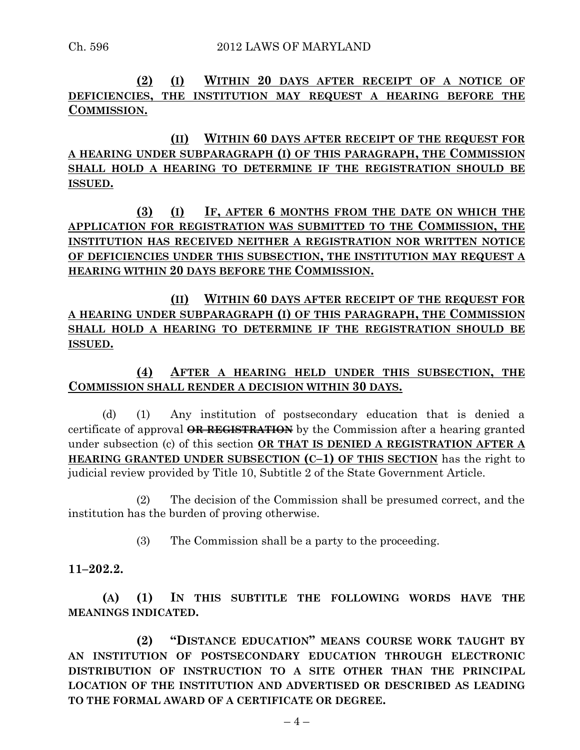**(2) (I) WITHIN 20 DAYS AFTER RECEIPT OF A NOTICE OF DEFICIENCIES, THE INSTITUTION MAY REQUEST A HEARING BEFORE THE COMMISSION.**

**(II) WITHIN 60 DAYS AFTER RECEIPT OF THE REQUEST FOR A HEARING UNDER SUBPARAGRAPH (I) OF THIS PARAGRAPH, THE COMMISSION SHALL HOLD A HEARING TO DETERMINE IF THE REGISTRATION SHOULD BE ISSUED.**

**(3) (I) IF, AFTER 6 MONTHS FROM THE DATE ON WHICH THE APPLICATION FOR REGISTRATION WAS SUBMITTED TO THE COMMISSION, THE INSTITUTION HAS RECEIVED NEITHER A REGISTRATION NOR WRITTEN NOTICE OF DEFICIENCIES UNDER THIS SUBSECTION, THE INSTITUTION MAY REQUEST A HEARING WITHIN 20 DAYS BEFORE THE COMMISSION.**

**(II) WITHIN 60 DAYS AFTER RECEIPT OF THE REQUEST FOR A HEARING UNDER SUBPARAGRAPH (I) OF THIS PARAGRAPH, THE COMMISSION SHALL HOLD A HEARING TO DETERMINE IF THE REGISTRATION SHOULD BE ISSUED.**

**(4) AFTER A HEARING HELD UNDER THIS SUBSECTION, THE COMMISSION SHALL RENDER A DECISION WITHIN 30 DAYS.**

(d) (1) Any institution of postsecondary education that is denied a certificate of approval **OR REGISTRATION** by the Commission after a hearing granted under subsection (c) of this section **OR THAT IS DENIED A REGISTRATION AFTER A HEARING GRANTED UNDER SUBSECTION (C–1) OF THIS SECTION** has the right to judicial review provided by Title 10, Subtitle 2 of the State Government Article.

(2) The decision of the Commission shall be presumed correct, and the institution has the burden of proving otherwise.

(3) The Commission shall be a party to the proceeding.

**11–202.2.**

**(A) (1) IN THIS SUBTITLE THE FOLLOWING WORDS HAVE THE MEANINGS INDICATED.**

**(2) "DISTANCE EDUCATION" MEANS COURSE WORK TAUGHT BY AN INSTITUTION OF POSTSECONDARY EDUCATION THROUGH ELECTRONIC DISTRIBUTION OF INSTRUCTION TO A SITE OTHER THAN THE PRINCIPAL LOCATION OF THE INSTITUTION AND ADVERTISED OR DESCRIBED AS LEADING TO THE FORMAL AWARD OF A CERTIFICATE OR DEGREE.**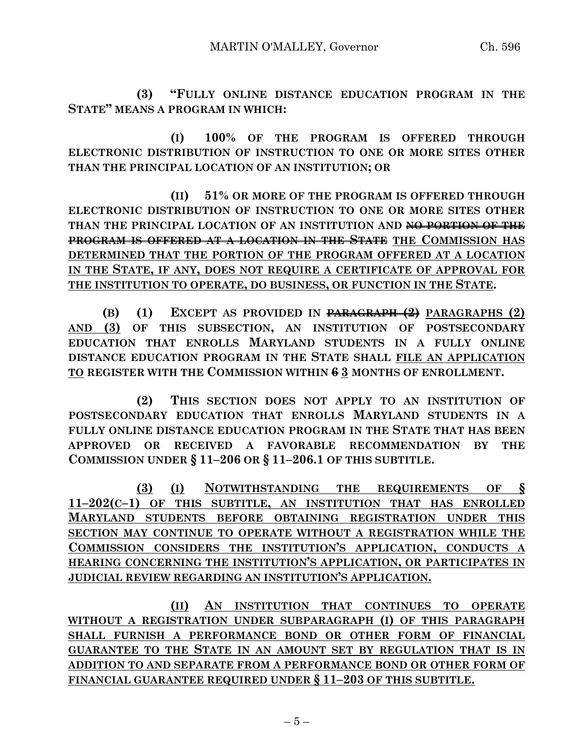**(3) "FULLY ONLINE DISTANCE EDUCATION PROGRAM IN THE STATE" MEANS A PROGRAM IN WHICH:**

**(I) 100% OF THE PROGRAM IS OFFERED THROUGH ELECTRONIC DISTRIBUTION OF INSTRUCTION TO ONE OR MORE SITES OTHER THAN THE PRINCIPAL LOCATION OF AN INSTITUTION; OR**

**(II) 51% OR MORE OF THE PROGRAM IS OFFERED THROUGH ELECTRONIC DISTRIBUTION OF INSTRUCTION TO ONE OR MORE SITES OTHER THAN THE PRINCIPAL LOCATION OF AN INSTITUTION AND NO PORTION OF THE PROGRAM IS OFFERED AT A LOCATION IN THE STATE THE COMMISSION HAS DETERMINED THAT THE PORTION OF THE PROGRAM OFFERED AT A LOCATION IN THE STATE, IF ANY, DOES NOT REQUIRE A CERTIFICATE OF APPROVAL FOR THE INSTITUTION TO OPERATE, DO BUSINESS, OR FUNCTION IN THE STATE.**

**(B) (1) EXCEPT AS PROVIDED IN PARAGRAPH (2) PARAGRAPHS (2) AND (3) OF THIS SUBSECTION, AN INSTITUTION OF POSTSECONDARY EDUCATION THAT ENROLLS MARYLAND STUDENTS IN A FULLY ONLINE DISTANCE EDUCATION PROGRAM IN THE STATE SHALL FILE AN APPLICATION TO REGISTER WITH THE COMMISSION WITHIN 6 3 MONTHS OF ENROLLMENT.**

**(2) THIS SECTION DOES NOT APPLY TO AN INSTITUTION OF POSTSECONDARY EDUCATION THAT ENROLLS MARYLAND STUDENTS IN A FULLY ONLINE DISTANCE EDUCATION PROGRAM IN THE STATE THAT HAS BEEN APPROVED OR RECEIVED A FAVORABLE RECOMMENDATION BY THE COMMISSION UNDER § 11–206 OR § 11–206.1 OF THIS SUBTITLE.**

**(3) (I) NOTWITHSTANDING THE REQUIREMENTS OF § 11–202(C–1) OF THIS SUBTITLE, AN INSTITUTION THAT HAS ENROLLED MARYLAND STUDENTS BEFORE OBTAINING REGISTRATION UNDER THIS SECTION MAY CONTINUE TO OPERATE WITHOUT A REGISTRATION WHILE THE COMMISSION CONSIDERS THE INSTITUTION'S APPLICATION, CONDUCTS A HEARING CONCERNING THE INSTITUTION'S APPLICATION, OR PARTICIPATES IN JUDICIAL REVIEW REGARDING AN INSTITUTION'S APPLICATION.**

**(II) AN INSTITUTION THAT CONTINUES TO OPERATE WITHOUT A REGISTRATION UNDER SUBPARAGRAPH (I) OF THIS PARAGRAPH SHALL FURNISH A PERFORMANCE BOND OR OTHER FORM OF FINANCIAL GUARANTEE TO THE STATE IN AN AMOUNT SET BY REGULATION THAT IS IN ADDITION TO AND SEPARATE FROM A PERFORMANCE BOND OR OTHER FORM OF FINANCIAL GUARANTEE REQUIRED UNDER § 11–203 OF THIS SUBTITLE.**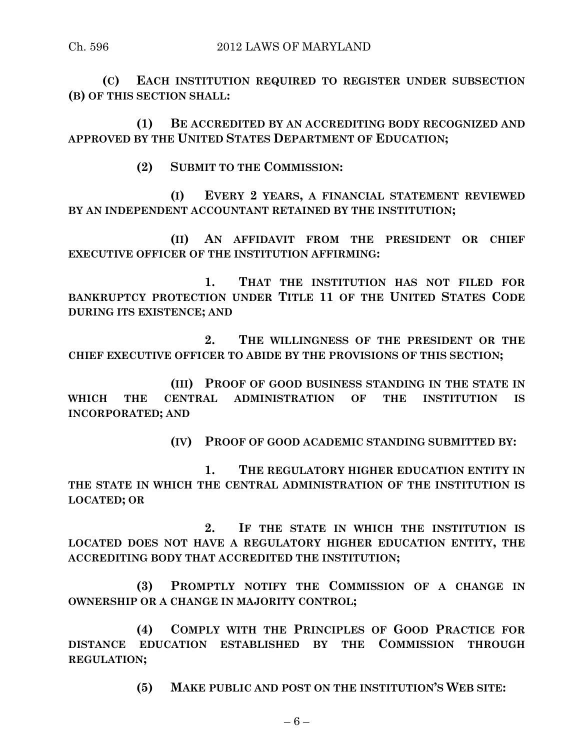**(C) EACH INSTITUTION REQUIRED TO REGISTER UNDER SUBSECTION (B) OF THIS SECTION SHALL:**

**(1) BE ACCREDITED BY AN ACCREDITING BODY RECOGNIZED AND APPROVED BY THE UNITED STATES DEPARTMENT OF EDUCATION;**

**(2) SUBMIT TO THE COMMISSION:**

**(I) EVERY 2 YEARS, A FINANCIAL STATEMENT REVIEWED BY AN INDEPENDENT ACCOUNTANT RETAINED BY THE INSTITUTION;**

**(II) AN AFFIDAVIT FROM THE PRESIDENT OR CHIEF EXECUTIVE OFFICER OF THE INSTITUTION AFFIRMING:**

**1. THAT THE INSTITUTION HAS NOT FILED FOR BANKRUPTCY PROTECTION UNDER TITLE 11 OF THE UNITED STATES CODE DURING ITS EXISTENCE; AND**

**2. THE WILLINGNESS OF THE PRESIDENT OR THE CHIEF EXECUTIVE OFFICER TO ABIDE BY THE PROVISIONS OF THIS SECTION;**

**(III) PROOF OF GOOD BUSINESS STANDING IN THE STATE IN WHICH THE CENTRAL ADMINISTRATION OF THE INSTITUTION IS INCORPORATED; AND**

**(IV) PROOF OF GOOD ACADEMIC STANDING SUBMITTED BY:**

**1. THE REGULATORY HIGHER EDUCATION ENTITY IN THE STATE IN WHICH THE CENTRAL ADMINISTRATION OF THE INSTITUTION IS LOCATED; OR**

**2. IF THE STATE IN WHICH THE INSTITUTION IS LOCATED DOES NOT HAVE A REGULATORY HIGHER EDUCATION ENTITY, THE ACCREDITING BODY THAT ACCREDITED THE INSTITUTION;**

**(3) PROMPTLY NOTIFY THE COMMISSION OF A CHANGE IN OWNERSHIP OR A CHANGE IN MAJORITY CONTROL;**

**(4) COMPLY WITH THE PRINCIPLES OF GOOD PRACTICE FOR DISTANCE EDUCATION ESTABLISHED BY THE COMMISSION THROUGH REGULATION;**

**(5) MAKE PUBLIC AND POST ON THE INSTITUTION'S WEB SITE:**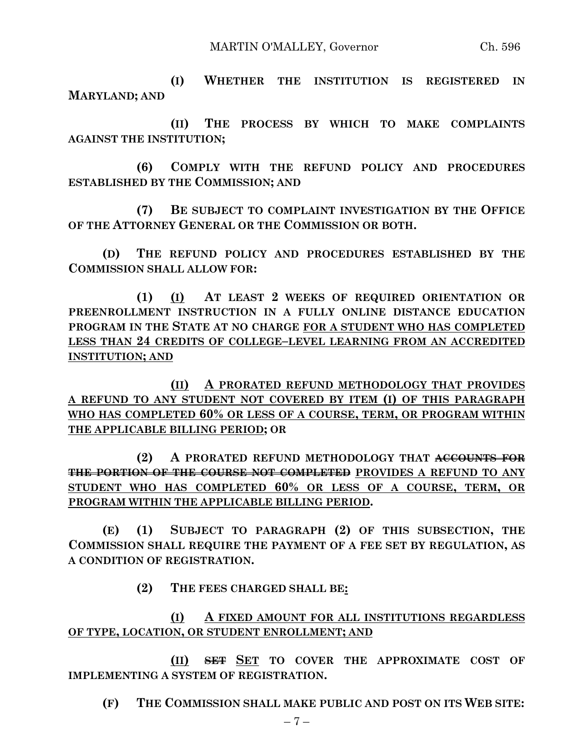**(I) WHETHER THE INSTITUTION IS REGISTERED IN MARYLAND; AND**

**(II) THE PROCESS BY WHICH TO MAKE COMPLAINTS AGAINST THE INSTITUTION;**

**(6) COMPLY WITH THE REFUND POLICY AND PROCEDURES ESTABLISHED BY THE COMMISSION; AND**

**(7) BE SUBJECT TO COMPLAINT INVESTIGATION BY THE OFFICE OF THE ATTORNEY GENERAL OR THE COMMISSION OR BOTH.**

**(D) THE REFUND POLICY AND PROCEDURES ESTABLISHED BY THE COMMISSION SHALL ALLOW FOR:**

**(1) (I) AT LEAST 2 WEEKS OF REQUIRED ORIENTATION OR PREENROLLMENT INSTRUCTION IN A FULLY ONLINE DISTANCE EDUCATION PROGRAM IN THE STATE AT NO CHARGE FOR A STUDENT WHO HAS COMPLETED LESS THAN 24 CREDITS OF COLLEGE–LEVEL LEARNING FROM AN ACCREDITED INSTITUTION; AND**

**(II) A PRORATED REFUND METHODOLOGY THAT PROVIDES A REFUND TO ANY STUDENT NOT COVERED BY ITEM (I) OF THIS PARAGRAPH WHO HAS COMPLETED 60% OR LESS OF A COURSE, TERM, OR PROGRAM WITHIN THE APPLICABLE BILLING PERIOD; OR**

**(2) A PRORATED REFUND METHODOLOGY THAT ACCOUNTS FOR THE PORTION OF THE COURSE NOT COMPLETED PROVIDES A REFUND TO ANY STUDENT WHO HAS COMPLETED 60% OR LESS OF A COURSE, TERM, OR PROGRAM WITHIN THE APPLICABLE BILLING PERIOD.**

**(E) (1) SUBJECT TO PARAGRAPH (2) OF THIS SUBSECTION, THE COMMISSION SHALL REQUIRE THE PAYMENT OF A FEE SET BY REGULATION, AS A CONDITION OF REGISTRATION.**

**(2) THE FEES CHARGED SHALL BE:**

**(I) A FIXED AMOUNT FOR ALL INSTITUTIONS REGARDLESS OF TYPE, LOCATION, OR STUDENT ENROLLMENT; AND**

**(II) SET SET TO COVER THE APPROXIMATE COST OF IMPLEMENTING A SYSTEM OF REGISTRATION.**

**(F) THE COMMISSION SHALL MAKE PUBLIC AND POST ON ITS WEB SITE:**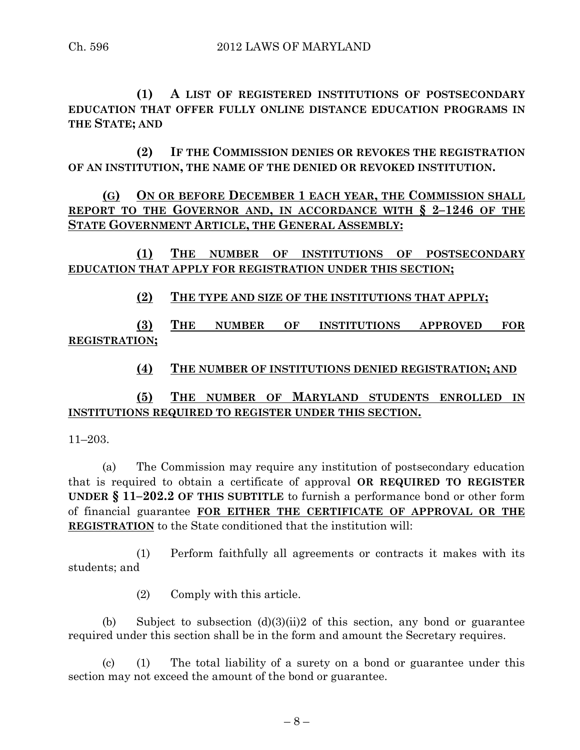**(1) A LIST OF REGISTERED INSTITUTIONS OF POSTSECONDARY EDUCATION THAT OFFER FULLY ONLINE DISTANCE EDUCATION PROGRAMS IN THE STATE; AND**

**(2) IF THE COMMISSION DENIES OR REVOKES THE REGISTRATION OF AN INSTITUTION, THE NAME OF THE DENIED OR REVOKED INSTITUTION.**

**(G) ON OR BEFORE DECEMBER 1 EACH YEAR, THE COMMISSION SHALL REPORT TO THE GOVERNOR AND, IN ACCORDANCE WITH § 2–1246 OF THE STATE GOVERNMENT ARTICLE, THE GENERAL ASSEMBLY:**

**(1) THE NUMBER OF INSTITUTIONS OF POSTSECONDARY EDUCATION THAT APPLY FOR REGISTRATION UNDER THIS SECTION;**

**(2) THE TYPE AND SIZE OF THE INSTITUTIONS THAT APPLY;**

**(3) THE NUMBER OF INSTITUTIONS APPROVED FOR REGISTRATION;**

**(4) THE NUMBER OF INSTITUTIONS DENIED REGISTRATION; AND**

## **(5) THE NUMBER OF MARYLAND STUDENTS ENROLLED IN INSTITUTIONS REQUIRED TO REGISTER UNDER THIS SECTION.**

11–203.

(a) The Commission may require any institution of postsecondary education that is required to obtain a certificate of approval **OR REQUIRED TO REGISTER UNDER § 11–202.2 OF THIS SUBTITLE** to furnish a performance bond or other form of financial guarantee **FOR EITHER THE CERTIFICATE OF APPROVAL OR THE REGISTRATION** to the State conditioned that the institution will:

(1) Perform faithfully all agreements or contracts it makes with its students; and

(2) Comply with this article.

(b) Subject to subsection  $(d)(3)(ii)$  of this section, any bond or guarantee required under this section shall be in the form and amount the Secretary requires.

(c) (1) The total liability of a surety on a bond or guarantee under this section may not exceed the amount of the bond or guarantee.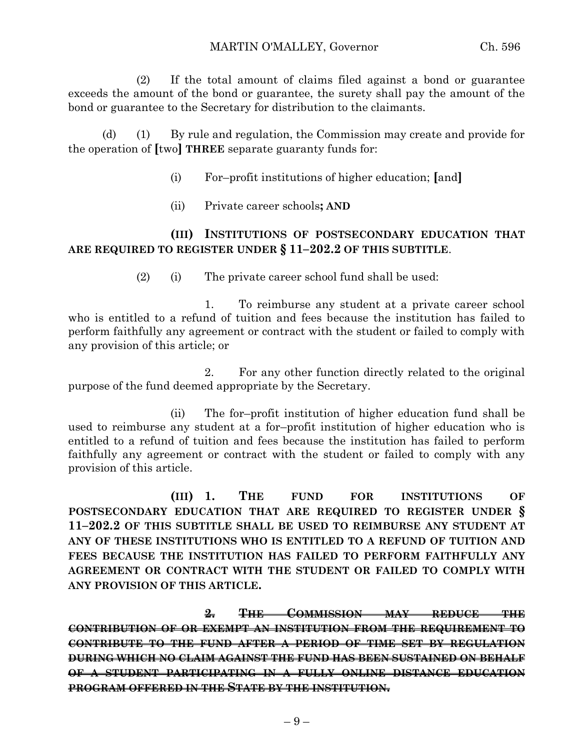(2) If the total amount of claims filed against a bond or guarantee exceeds the amount of the bond or guarantee, the surety shall pay the amount of the bond or guarantee to the Secretary for distribution to the claimants.

(d) (1) By rule and regulation, the Commission may create and provide for the operation of **[**two**] THREE** separate guaranty funds for:

- (i) For–profit institutions of higher education; **[**and**]**
- (ii) Private career schools**; AND**

#### **(III) INSTITUTIONS OF POSTSECONDARY EDUCATION THAT ARE REQUIRED TO REGISTER UNDER § 11–202.2 OF THIS SUBTITLE**.

(2) (i) The private career school fund shall be used:

1. To reimburse any student at a private career school who is entitled to a refund of tuition and fees because the institution has failed to perform faithfully any agreement or contract with the student or failed to comply with any provision of this article; or

2. For any other function directly related to the original purpose of the fund deemed appropriate by the Secretary.

(ii) The for–profit institution of higher education fund shall be used to reimburse any student at a for–profit institution of higher education who is entitled to a refund of tuition and fees because the institution has failed to perform faithfully any agreement or contract with the student or failed to comply with any provision of this article.

**(III) 1. THE FUND FOR INSTITUTIONS OF POSTSECONDARY EDUCATION THAT ARE REQUIRED TO REGISTER UNDER § 11–202.2 OF THIS SUBTITLE SHALL BE USED TO REIMBURSE ANY STUDENT AT ANY OF THESE INSTITUTIONS WHO IS ENTITLED TO A REFUND OF TUITION AND FEES BECAUSE THE INSTITUTION HAS FAILED TO PERFORM FAITHFULLY ANY AGREEMENT OR CONTRACT WITH THE STUDENT OR FAILED TO COMPLY WITH ANY PROVISION OF THIS ARTICLE.**

**2. THE COMMISSION MAY REDUCE THE CONTRIBUTION OF OR EXEMPT AN INSTITUTION FROM THE REQUIREMENT TO CONTRIBUTE TO THE FUND AFTER A PERIOD OF TIME SET BY REGULATION DURING WHICH NO CLAIM AGAINST THE FUND HAS BEEN SUSTAINED ON BEHALF OF A STUDENT PARTICIPATING IN A FULLY ONLINE DISTANCE EDUCATION PROGRAM OFFERED IN THE STATE BY THE INSTITUTION.**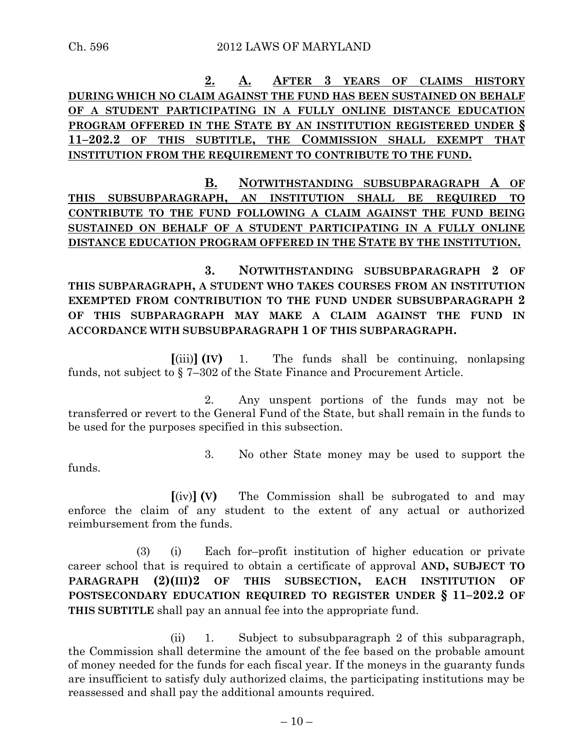**2. A. AFTER 3 YEARS OF CLAIMS HISTORY DURING WHICH NO CLAIM AGAINST THE FUND HAS BEEN SUSTAINED ON BEHALF OF A STUDENT PARTICIPATING IN A FULLY ONLINE DISTANCE EDUCATION PROGRAM OFFERED IN THE STATE BY AN INSTITUTION REGISTERED UNDER § 11–202.2 OF THIS SUBTITLE, THE COMMISSION SHALL EXEMPT THAT INSTITUTION FROM THE REQUIREMENT TO CONTRIBUTE TO THE FUND.**

**B. NOTWITHSTANDING SUBSUBPARAGRAPH A OF THIS SUBSUBPARAGRAPH, AN INSTITUTION SHALL BE REQUIRED TO CONTRIBUTE TO THE FUND FOLLOWING A CLAIM AGAINST THE FUND BEING SUSTAINED ON BEHALF OF A STUDENT PARTICIPATING IN A FULLY ONLINE DISTANCE EDUCATION PROGRAM OFFERED IN THE STATE BY THE INSTITUTION.**

**3. NOTWITHSTANDING SUBSUBPARAGRAPH 2 OF THIS SUBPARAGRAPH, A STUDENT WHO TAKES COURSES FROM AN INSTITUTION EXEMPTED FROM CONTRIBUTION TO THE FUND UNDER SUBSUBPARAGRAPH 2 OF THIS SUBPARAGRAPH MAY MAKE A CLAIM AGAINST THE FUND IN ACCORDANCE WITH SUBSUBPARAGRAPH 1 OF THIS SUBPARAGRAPH.**

**[**(iii)**] (IV)** 1. The funds shall be continuing, nonlapsing funds, not subject to § 7–302 of the State Finance and Procurement Article.

2. Any unspent portions of the funds may not be transferred or revert to the General Fund of the State, but shall remain in the funds to be used for the purposes specified in this subsection.

funds.

3. No other State money may be used to support the

**[**(iv)**] (V)** The Commission shall be subrogated to and may enforce the claim of any student to the extent of any actual or authorized reimbursement from the funds.

(3) (i) Each for–profit institution of higher education or private career school that is required to obtain a certificate of approval **AND, SUBJECT TO PARAGRAPH (2)(III)2 OF THIS SUBSECTION, EACH INSTITUTION OF POSTSECONDARY EDUCATION REQUIRED TO REGISTER UNDER § 11–202.2 OF THIS SUBTITLE** shall pay an annual fee into the appropriate fund.

(ii) 1. Subject to subsubparagraph 2 of this subparagraph, the Commission shall determine the amount of the fee based on the probable amount of money needed for the funds for each fiscal year. If the moneys in the guaranty funds are insufficient to satisfy duly authorized claims, the participating institutions may be reassessed and shall pay the additional amounts required.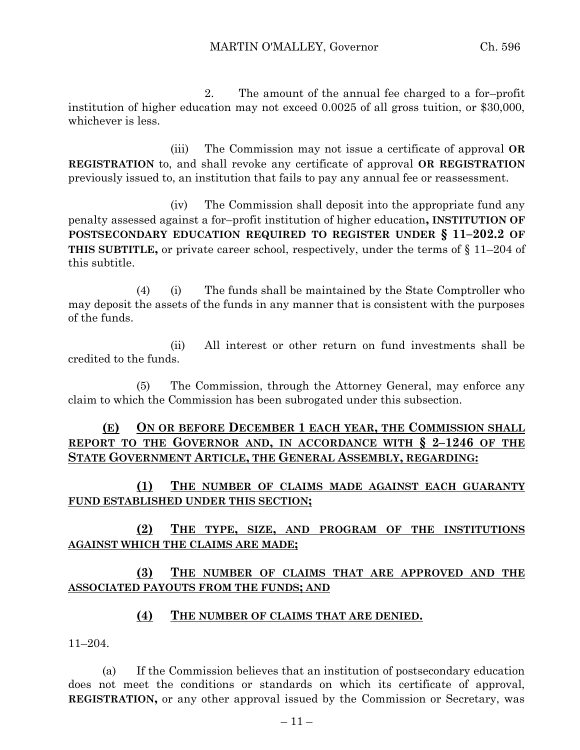2. The amount of the annual fee charged to a for–profit institution of higher education may not exceed 0.0025 of all gross tuition, or \$30,000, whichever is less.

(iii) The Commission may not issue a certificate of approval **OR REGISTRATION** to, and shall revoke any certificate of approval **OR REGISTRATION** previously issued to, an institution that fails to pay any annual fee or reassessment.

(iv) The Commission shall deposit into the appropriate fund any penalty assessed against a for–profit institution of higher education**, INSTITUTION OF POSTSECONDARY EDUCATION REQUIRED TO REGISTER UNDER § 11–202.2 OF THIS SUBTITLE,** or private career school, respectively, under the terms of § 11–204 of this subtitle.

(4) (i) The funds shall be maintained by the State Comptroller who may deposit the assets of the funds in any manner that is consistent with the purposes of the funds.

(ii) All interest or other return on fund investments shall be credited to the funds.

(5) The Commission, through the Attorney General, may enforce any claim to which the Commission has been subrogated under this subsection.

## **(E) ON OR BEFORE DECEMBER 1 EACH YEAR, THE COMMISSION SHALL REPORT TO THE GOVERNOR AND, IN ACCORDANCE WITH § 2–1246 OF THE STATE GOVERNMENT ARTICLE, THE GENERAL ASSEMBLY, REGARDING:**

**(1) THE NUMBER OF CLAIMS MADE AGAINST EACH GUARANTY FUND ESTABLISHED UNDER THIS SECTION;**

# **(2) THE TYPE, SIZE, AND PROGRAM OF THE INSTITUTIONS AGAINST WHICH THE CLAIMS ARE MADE;**

# **(3) THE NUMBER OF CLAIMS THAT ARE APPROVED AND THE ASSOCIATED PAYOUTS FROM THE FUNDS; AND**

#### **(4) THE NUMBER OF CLAIMS THAT ARE DENIED.**

11–204.

(a) If the Commission believes that an institution of postsecondary education does not meet the conditions or standards on which its certificate of approval, **REGISTRATION,** or any other approval issued by the Commission or Secretary, was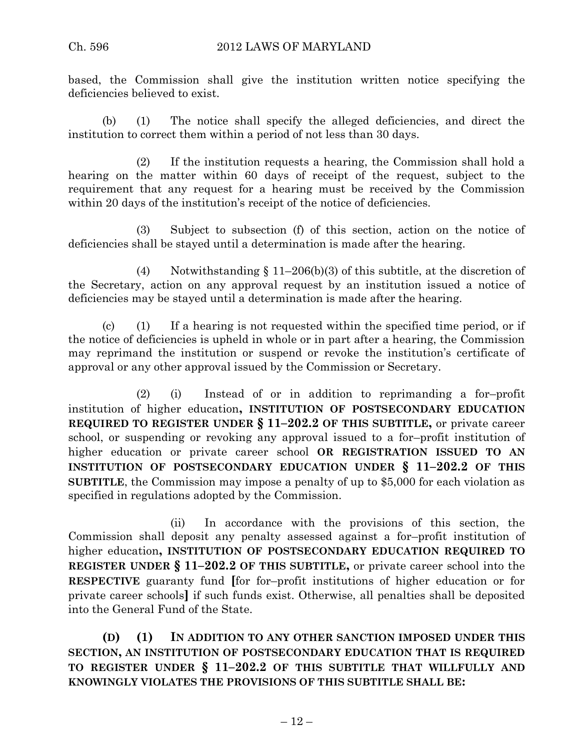based, the Commission shall give the institution written notice specifying the deficiencies believed to exist.

(b) (1) The notice shall specify the alleged deficiencies, and direct the institution to correct them within a period of not less than 30 days.

(2) If the institution requests a hearing, the Commission shall hold a hearing on the matter within 60 days of receipt of the request, subject to the requirement that any request for a hearing must be received by the Commission within 20 days of the institution's receipt of the notice of deficiencies.

(3) Subject to subsection (f) of this section, action on the notice of deficiencies shall be stayed until a determination is made after the hearing.

(4) Notwithstanding § 11–206(b)(3) of this subtitle, at the discretion of the Secretary, action on any approval request by an institution issued a notice of deficiencies may be stayed until a determination is made after the hearing.

(c) (1) If a hearing is not requested within the specified time period, or if the notice of deficiencies is upheld in whole or in part after a hearing, the Commission may reprimand the institution or suspend or revoke the institution's certificate of approval or any other approval issued by the Commission or Secretary.

(2) (i) Instead of or in addition to reprimanding a for–profit institution of higher education**, INSTITUTION OF POSTSECONDARY EDUCATION REQUIRED TO REGISTER UNDER § 11–202.2 OF THIS SUBTITLE,** or private career school, or suspending or revoking any approval issued to a for–profit institution of higher education or private career school **OR REGISTRATION ISSUED TO AN INSTITUTION OF POSTSECONDARY EDUCATION UNDER § 11–202.2 OF THIS SUBTITLE**, the Commission may impose a penalty of up to \$5,000 for each violation as specified in regulations adopted by the Commission.

(ii) In accordance with the provisions of this section, the Commission shall deposit any penalty assessed against a for–profit institution of higher education**, INSTITUTION OF POSTSECONDARY EDUCATION REQUIRED TO REGISTER UNDER § 11–202.2 OF THIS SUBTITLE,** or private career school into the **RESPECTIVE** guaranty fund **[**for for–profit institutions of higher education or for private career schools**]** if such funds exist. Otherwise, all penalties shall be deposited into the General Fund of the State.

**(D) (1) IN ADDITION TO ANY OTHER SANCTION IMPOSED UNDER THIS SECTION, AN INSTITUTION OF POSTSECONDARY EDUCATION THAT IS REQUIRED TO REGISTER UNDER § 11–202.2 OF THIS SUBTITLE THAT WILLFULLY AND KNOWINGLY VIOLATES THE PROVISIONS OF THIS SUBTITLE SHALL BE:**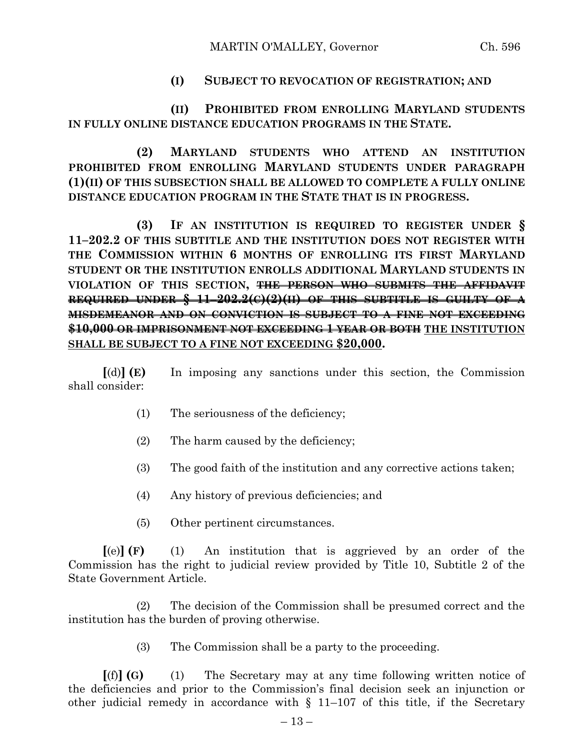## **(I) SUBJECT TO REVOCATION OF REGISTRATION; AND**

**(II) PROHIBITED FROM ENROLLING MARYLAND STUDENTS IN FULLY ONLINE DISTANCE EDUCATION PROGRAMS IN THE STATE.**

**(2) MARYLAND STUDENTS WHO ATTEND AN INSTITUTION PROHIBITED FROM ENROLLING MARYLAND STUDENTS UNDER PARAGRAPH (1)(II) OF THIS SUBSECTION SHALL BE ALLOWED TO COMPLETE A FULLY ONLINE DISTANCE EDUCATION PROGRAM IN THE STATE THAT IS IN PROGRESS.**

**(3) IF AN INSTITUTION IS REQUIRED TO REGISTER UNDER § 11–202.2 OF THIS SUBTITLE AND THE INSTITUTION DOES NOT REGISTER WITH THE COMMISSION WITHIN 6 MONTHS OF ENROLLING ITS FIRST MARYLAND STUDENT OR THE INSTITUTION ENROLLS ADDITIONAL MARYLAND STUDENTS IN VIOLATION OF THIS SECTION, THE PERSON WHO SUBMITS THE AFFIDAVIT REQUIRED UNDER § 11–202.2(C)(2)(II) OF THIS SUBTITLE IS GUILTY OF A MISDEMEANOR AND ON CONVICTION IS SUBJECT TO A FINE NOT EXCEEDING \$10,000 OR IMPRISONMENT NOT EXCEEDING 1 YEAR OR BOTH THE INSTITUTION SHALL BE SUBJECT TO A FINE NOT EXCEEDING \$20,000.**

**[**(d)**] (E)** In imposing any sanctions under this section, the Commission shall consider:

- (1) The seriousness of the deficiency;
- (2) The harm caused by the deficiency;
- (3) The good faith of the institution and any corrective actions taken;
- (4) Any history of previous deficiencies; and
- (5) Other pertinent circumstances.

**[**(e)**] (F)** (1) An institution that is aggrieved by an order of the Commission has the right to judicial review provided by Title 10, Subtitle 2 of the State Government Article.

(2) The decision of the Commission shall be presumed correct and the institution has the burden of proving otherwise.

(3) The Commission shall be a party to the proceeding.

**[**(f)**] (G)** (1) The Secretary may at any time following written notice of the deficiencies and prior to the Commission's final decision seek an injunction or other judicial remedy in accordance with § 11–107 of this title, if the Secretary